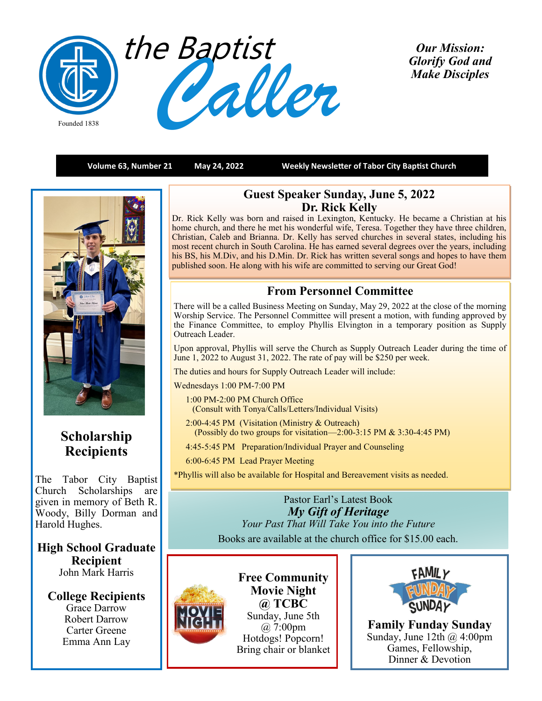

*Our Mission: Glorify God and Make Disciples* 

**Volume 63, Number 21 May 24, 2022 Weekly Newsletter of Tabor City Baptist Church**



# **Scholarship Recipients**

The Tabor City Baptist Church Scholarships are given in memory of Beth R. Woody, Billy Dorman and Harold Hughes.

**High School Graduate Recipient** John Mark Harris

**College Recipients** Grace Darrow Robert Darrow Carter Greene Emma Ann Lay

## **Guest Speaker Sunday, June 5, 2022 Dr. Rick Kelly**

Dr. Rick Kelly was born and raised in Lexington, Kentucky. He became a Christian at his home church, and there he met his wonderful wife, Teresa. Together they have three children, Christian, Caleb and Brianna. Dr. Kelly has served churches in several states, including his most recent church in South Carolina. He has earned several degrees over the years, including his BS, his M.Div, and his D.Min. Dr. Rick has written several songs and hopes to have them published soon. He along with his wife are committed to serving our Great God!

## **From Personnel Committee**

There will be a called Business Meeting on Sunday, May 29, 2022 at the close of the morning Worship Service. The Personnel Committee will present a motion, with funding approved by the Finance Committee, to employ Phyllis Elvington in a temporary position as Supply Outreach Leader.

Upon approval, Phyllis will serve the Church as Supply Outreach Leader during the time of June 1, 2022 to August 31, 2022. The rate of pay will be \$250 per week.

The duties and hours for Supply Outreach Leader will include:

Wednesdays 1:00 PM-7:00 PM

- 1:00 PM-2:00 PM Church Office (Consult with Tonya/Calls/Letters/Individual Visits)
- 2:00-4:45 PM (Visitation (Ministry & Outreach) (Possibly do two groups for visitation—2:00-3:15 PM & 3:30-4:45 PM)

4:45-5:45 PM Preparation/Individual Prayer and Counseling

6:00-6:45 PM Lead Prayer Meeting

\*Phyllis will also be available for Hospital and Bereavement visits as needed.

Pastor Earl's Latest Book *My Gift of Heritage Your Past That Will Take You into the Future* Books are available at the church office for \$15.00 each.



**Free Community Movie Night @ TCBC** Sunday, June 5th @ 7:00pm Hotdogs! Popcorn! Bring chair or blanket



**Family Funday Sunday** Sunday, June 12th  $\omega$  4:00pm Games, Fellowship, Dinner & Devotion